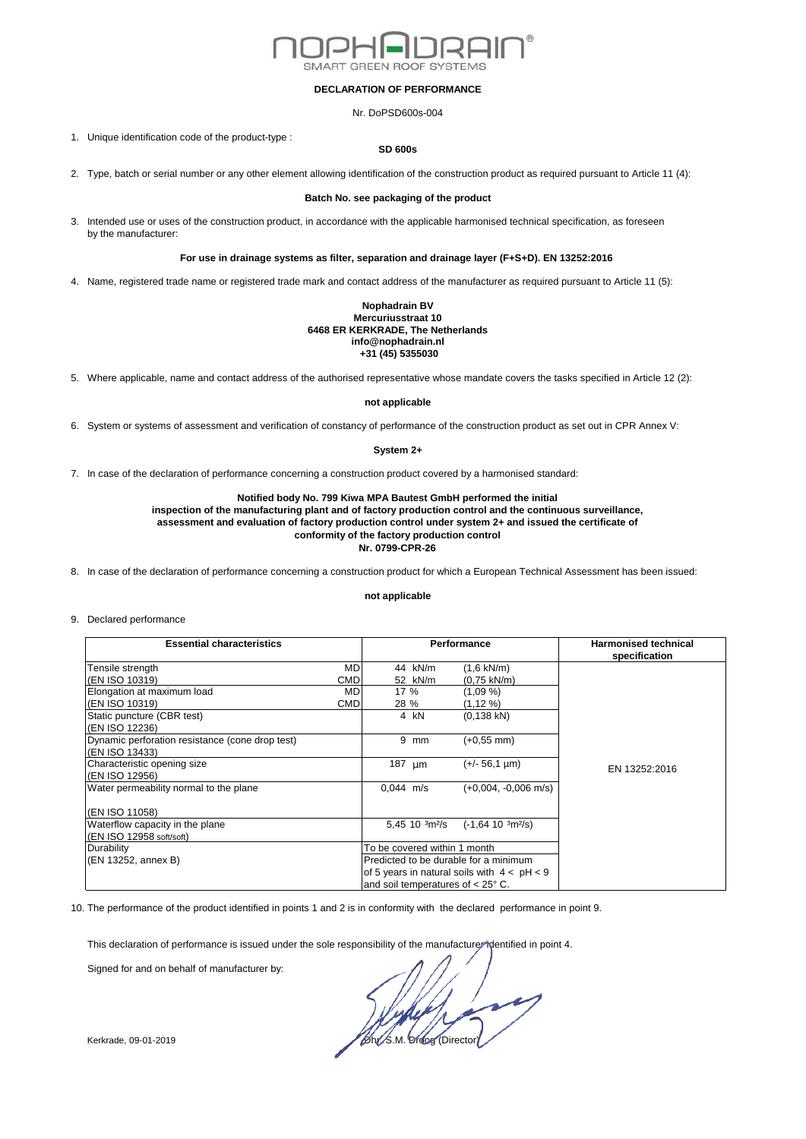

### **DECLARATION OF PERFORMANCE**

Nr. DoPSD600s-004

1. Unique identification code of the product-type :

### **SD 600s**

2. Type, batch or serial number or any other element allowing identification of the construction product as required pursuant to Article 11 (4):

## **Batch No. see packaging of the product**

3. Intended use or uses of the construction product, in accordance with the applicable harmonised technical specification, as foreseen by the manufacturer:

# **For use in drainage systems as filter, separation and drainage layer (F+S+D). EN 13252:2016**

4. Name, registered trade name or registered trade mark and contact address of the manufacturer as required pursuant to Article 11 (5):

#### **Nophadrain BV Mercuriusstraat 10 6468 ER KERKRADE, The Netherlands info@nophadrain.nl +31 (45) 5355030**

5. Where applicable, name and contact address of the authorised representative whose mandate covers the tasks specified in Article 12 (2):

## **not applicable**

6. System or systems of assessment and verification of constancy of performance of the construction product as set out in CPR Annex V:

## **System 2+**

7. In case of the declaration of performance concerning a construction product covered by a harmonised standard:

# **Notified body No. 799 Kiwa MPA Bautest GmbH performed the initial**

**inspection of the manufacturing plant and of factory production control and the continuous surveillance, assessment and evaluation of factory production control under system 2+ and issued the certificate of conformity of the factory production control Nr. 0799-CPR-26**

8. In case of the declaration of performance concerning a construction product for which a European Technical Assessment has been issued:

#### **not applicable**

#### 9. Declared performance

| <b>Essential characteristics</b>                |            | Performance                                   |    |                          | <b>Harmonised technical</b><br>specification |
|-------------------------------------------------|------------|-----------------------------------------------|----|--------------------------|----------------------------------------------|
| Tensile strength                                | <b>MD</b>  | 44 kN/m                                       |    | $(1,6 \text{ kN/m})$     |                                              |
| (EN ISO 10319)                                  | CMD        | 52 kN/m                                       |    | (0,75 kN/m)              |                                              |
| Elongation at maximum load                      | MD         | 17 %                                          |    | (1,09 %)                 |                                              |
| (EN ISO 10319)                                  | <b>CMD</b> | 28 %                                          |    | (1,12 %)                 |                                              |
| Static puncture (CBR test)                      |            | 4 kN                                          |    | $(0, 138$ kN)            |                                              |
| (EN ISO 12236)                                  |            |                                               |    |                          |                                              |
| Dynamic perforation resistance (cone drop test) |            | 9                                             | mm | (+0.55 mm)               |                                              |
| (EN ISO 13433)                                  |            |                                               |    |                          |                                              |
| Characteristic opening size                     |            | 187 $\mu$ m                                   |    | (+/- 56,1 µm)            | EN 13252:2016                                |
| (EN ISO 12956)                                  |            |                                               |    |                          |                                              |
| Water permeability normal to the plane          |            | $0.044$ m/s                                   |    | $(+0.004, -0.006$ m/s)   |                                              |
|                                                 |            |                                               |    |                          |                                              |
| (EN ISO 11058)                                  |            |                                               |    |                          |                                              |
| Waterflow capacity in the plane                 |            | $5,45$ 10 $\frac{3}{12}$ /s                   |    | $(-1, 64, 10, 3m^{2}/s)$ |                                              |
| (EN ISO 12958 soft/soft)                        |            |                                               |    |                          |                                              |
| Durability                                      |            | To be covered within 1 month                  |    |                          |                                              |
| (EN 13252, annex B)                             |            | Predicted to be durable for a minimum         |    |                          |                                              |
|                                                 |            | of 5 years in natural soils with $4 < pH < 9$ |    |                          |                                              |
|                                                 |            | and soil temperatures of $< 25^{\circ}$ C.    |    |                          |                                              |

10. The performance of the product identified in points 1 and 2 is in conformity with the declared performance in point 9.

This declaration of performance is issued under the sole responsibility of the manufacturer identified in point 4.

Signed for and on behalf of manufacturer by:

Kerkrade, 09-01-2019 **Director** Director Contract Contract Operation of Directors of Directors and Directors of Directors and Directors and Directors and Directors and Directors and Directors and Directors and Directors an